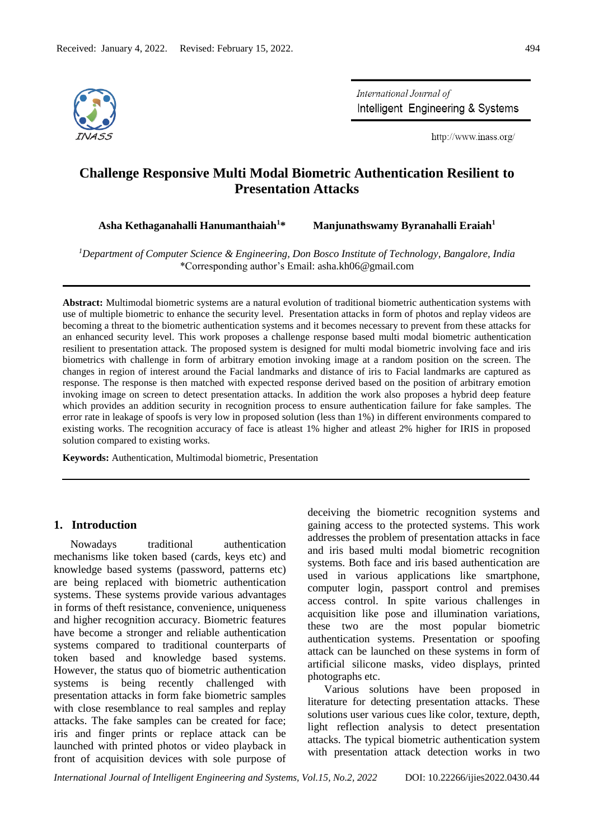

International Journal of Intelligent Engineering & Systems

http://www.inass.org/

# **Challenge Responsive Multi Modal Biometric Authentication Resilient to Presentation Attacks**

**Asha Kethaganahalli Hanumanthaiah<sup>1</sup>\* Manjunathswamy Byranahalli Eraiah<sup>1</sup>**

*<sup>1</sup>Department of Computer Science & Engineering, Don Bosco Institute of Technology, Bangalore, India* \*Corresponding author's Email: asha.kh06@gmail.com

**Abstract:** Multimodal biometric systems are a natural evolution of traditional biometric authentication systems with use of multiple biometric to enhance the security level. Presentation attacks in form of photos and replay videos are becoming a threat to the biometric authentication systems and it becomes necessary to prevent from these attacks for an enhanced security level. This work proposes a challenge response based multi modal biometric authentication resilient to presentation attack. The proposed system is designed for multi modal biometric involving face and iris biometrics with challenge in form of arbitrary emotion invoking image at a random position on the screen. The changes in region of interest around the Facial landmarks and distance of iris to Facial landmarks are captured as response. The response is then matched with expected response derived based on the position of arbitrary emotion invoking image on screen to detect presentation attacks. In addition the work also proposes a hybrid deep feature which provides an addition security in recognition process to ensure authentication failure for fake samples. The error rate in leakage of spoofs is very low in proposed solution (less than 1%) in different environments compared to existing works. The recognition accuracy of face is atleast 1% higher and atleast 2% higher for IRIS in proposed solution compared to existing works.

**Keywords:** Authentication, Multimodal biometric, Presentation

## **1. Introduction**

Nowadays traditional authentication mechanisms like token based (cards, keys etc) and knowledge based systems (password, patterns etc) are being replaced with biometric authentication systems. These systems provide various advantages in forms of theft resistance, convenience, uniqueness and higher recognition accuracy. Biometric features have become a stronger and reliable authentication systems compared to traditional counterparts of token based and knowledge based systems. However, the status quo of biometric authentication systems is being recently challenged with presentation attacks in form fake biometric samples with close resemblance to real samples and replay attacks. The fake samples can be created for face; iris and finger prints or replace attack can be launched with printed photos or video playback in front of acquisition devices with sole purpose of deceiving the biometric recognition systems and gaining access to the protected systems. This work addresses the problem of presentation attacks in face and iris based multi modal biometric recognition systems. Both face and iris based authentication are used in various applications like smartphone, computer login, passport control and premises access control. In spite various challenges in acquisition like pose and illumination variations, these two are the most popular biometric authentication systems. Presentation or spoofing attack can be launched on these systems in form of artificial silicone masks, video displays, printed photographs etc.

Various solutions have been proposed in literature for detecting presentation attacks. These solutions user various cues like color, texture, depth, light reflection analysis to detect presentation attacks. The typical biometric authentication system with presentation attack detection works in two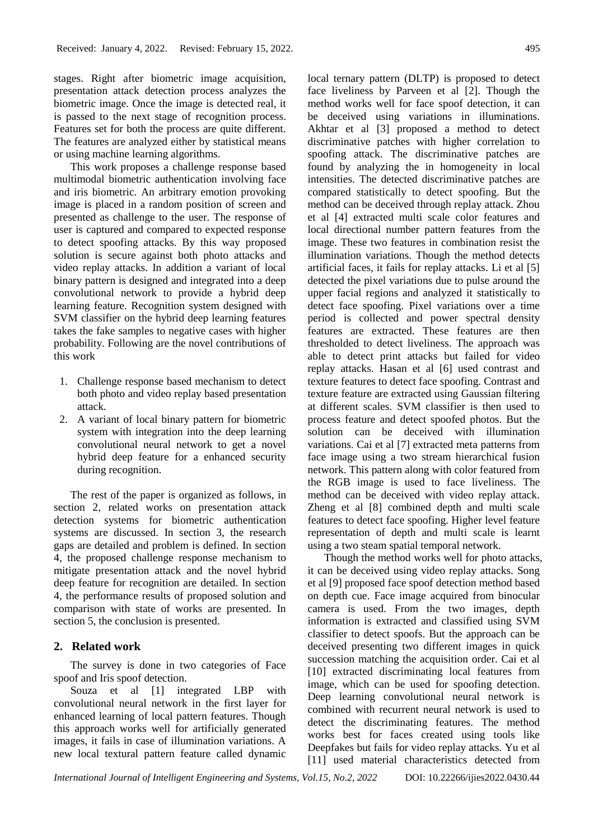stages. Right after biometric image acquisition, presentation attack detection process analyzes the biometric image. Once the image is detected real, it is passed to the next stage of recognition process. Features set for both the process are quite different. The features are analyzed either by statistical means or using machine learning algorithms.

This work proposes a challenge response based multimodal biometric authentication involving face and iris biometric. An arbitrary emotion provoking image is placed in a random position of screen and presented as challenge to the user. The response of user is captured and compared to expected response to detect spoofing attacks. By this way proposed solution is secure against both photo attacks and video replay attacks. In addition a variant of local binary pattern is designed and integrated into a deep convolutional network to provide a hybrid deep learning feature. Recognition system designed with SVM classifier on the hybrid deep learning features takes the fake samples to negative cases with higher probability. Following are the novel contributions of this work

- 1. Challenge response based mechanism to detect both photo and video replay based presentation attack.
- 2. A variant of local binary pattern for biometric system with integration into the deep learning convolutional neural network to get a novel hybrid deep feature for a enhanced security during recognition.

The rest of the paper is organized as follows, in section 2, related works on presentation attack detection systems for biometric authentication systems are discussed. In section 3, the research gaps are detailed and problem is defined. In section 4, the proposed challenge response mechanism to mitigate presentation attack and the novel hybrid deep feature for recognition are detailed. In section 4, the performance results of proposed solution and comparison with state of works are presented. In section 5, the conclusion is presented.

### **2. Related work**

The survey is done in two categories of Face spoof and Iris spoof detection.

Souza et al [1] integrated LBP with convolutional neural network in the first layer for enhanced learning of local pattern features. Though this approach works well for artificially generated images, it fails in case of illumination variations. A new local textural pattern feature called dynamic

local ternary pattern (DLTP) is proposed to detect face liveliness by Parveen et al [2]. Though the method works well for face spoof detection, it can be deceived using variations in illuminations. Akhtar et al [3] proposed a method to detect discriminative patches with higher correlation to spoofing attack. The discriminative patches are found by analyzing the in homogeneity in local intensities. The detected discriminative patches are compared statistically to detect spoofing. But the method can be deceived through replay attack. Zhou et al [4] extracted multi scale color features and local directional number pattern features from the image. These two features in combination resist the illumination variations. Though the method detects artificial faces, it fails for replay attacks. Li et al [5] detected the pixel variations due to pulse around the upper facial regions and analyzed it statistically to detect face spoofing. Pixel variations over a time period is collected and power spectral density features are extracted. These features are then thresholded to detect liveliness. The approach was able to detect print attacks but failed for video replay attacks. Hasan et al [6] used contrast and texture features to detect face spoofing. Contrast and texture feature are extracted using Gaussian filtering at different scales. SVM classifier is then used to process feature and detect spoofed photos. But the solution can be deceived with illumination variations. Cai et al [7] extracted meta patterns from face image using a two stream hierarchical fusion network. This pattern along with color featured from the RGB image is used to face liveliness. The method can be deceived with video replay attack. Zheng et al [8] combined depth and multi scale features to detect face spoofing. Higher level feature representation of depth and multi scale is learnt using a two steam spatial temporal network.

Though the method works well for photo attacks, it can be deceived using video replay attacks. Song et al [9] proposed face spoof detection method based on depth cue. Face image acquired from binocular camera is used. From the two images, depth information is extracted and classified using SVM classifier to detect spoofs. But the approach can be deceived presenting two different images in quick succession matching the acquisition order. Cai et al [10] extracted discriminating local features from image, which can be used for spoofing detection. Deep learning convolutional neural network is combined with recurrent neural network is used to detect the discriminating features. The method works best for faces created using tools like Deepfakes but fails for video replay attacks. Yu et al [11] used material characteristics detected from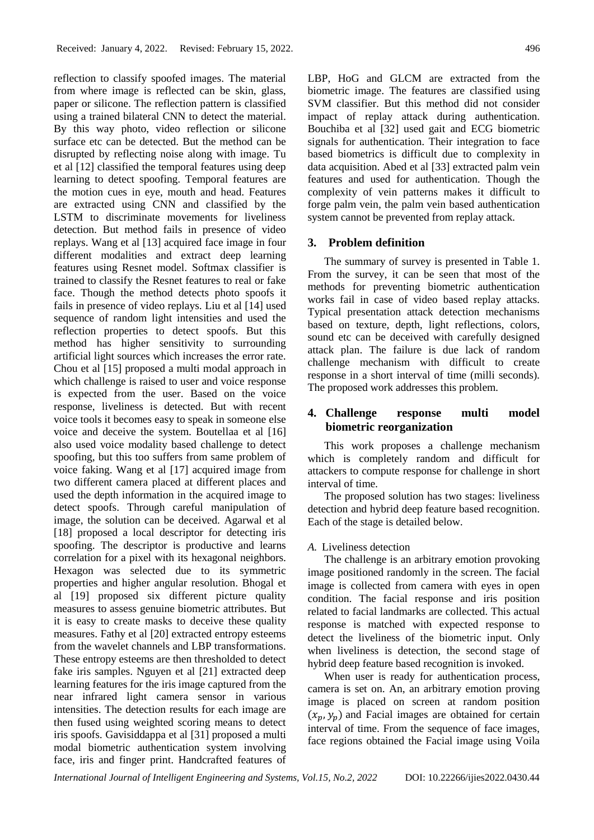reflection to classify spoofed images. The material from where image is reflected can be skin, glass, paper or silicone. The reflection pattern is classified using a trained bilateral CNN to detect the material. By this way photo, video reflection or silicone surface etc can be detected. But the method can be disrupted by reflecting noise along with image. Tu et al [12] classified the temporal features using deep learning to detect spoofing. Temporal features are the motion cues in eye, mouth and head. Features are extracted using CNN and classified by the LSTM to discriminate movements for liveliness detection. But method fails in presence of video replays. Wang et al [13] acquired face image in four different modalities and extract deep learning features using Resnet model. Softmax classifier is trained to classify the Resnet features to real or fake face. Though the method detects photo spoofs it fails in presence of video replays. Liu et al [14] used sequence of random light intensities and used the reflection properties to detect spoofs. But this method has higher sensitivity to surrounding artificial light sources which increases the error rate. Chou et al [15] proposed a multi modal approach in which challenge is raised to user and voice response is expected from the user. Based on the voice response, liveliness is detected. But with recent voice tools it becomes easy to speak in someone else voice and deceive the system. Boutellaa et al [16] also used voice modality based challenge to detect spoofing, but this too suffers from same problem of voice faking. Wang et al [17] acquired image from two different camera placed at different places and used the depth information in the acquired image to detect spoofs. Through careful manipulation of image, the solution can be deceived. Agarwal et al [18] proposed a local descriptor for detecting iris spoofing. The descriptor is productive and learns correlation for a pixel with its hexagonal neighbors. Hexagon was selected due to its symmetric properties and higher angular resolution. Bhogal et al [19] proposed six different picture quality measures to assess genuine biometric attributes. But it is easy to create masks to deceive these quality measures. Fathy et al [20] extracted entropy esteems from the wavelet channels and LBP transformations. These entropy esteems are then thresholded to detect fake iris samples. Nguyen et al [21] extracted deep learning features for the iris image captured from the near infrared light camera sensor in various intensities. The detection results for each image are then fused using weighted scoring means to detect iris spoofs. Gavisiddappa et al [31] proposed a multi modal biometric authentication system involving face, iris and finger print. Handcrafted features of LBP, HoG and GLCM are extracted from the biometric image. The features are classified using SVM classifier. But this method did not consider impact of replay attack during authentication. Bouchiba et al [32] used gait and ECG biometric signals for authentication. Their integration to face based biometrics is difficult due to complexity in data acquisition. Abed et al [33] extracted palm vein features and used for authentication. Though the complexity of vein patterns makes it difficult to forge palm vein, the palm vein based authentication system cannot be prevented from replay attack.

#### **3. Problem definition**

The summary of survey is presented in Table 1. From the survey, it can be seen that most of the methods for preventing biometric authentication works fail in case of video based replay attacks. Typical presentation attack detection mechanisms based on texture, depth, light reflections, colors, sound etc can be deceived with carefully designed attack plan. The failure is due lack of random challenge mechanism with difficult to create response in a short interval of time (milli seconds). The proposed work addresses this problem.

## **4. Challenge response multi model biometric reorganization**

This work proposes a challenge mechanism which is completely random and difficult for attackers to compute response for challenge in short interval of time.

The proposed solution has two stages: liveliness detection and hybrid deep feature based recognition. Each of the stage is detailed below.

### *A.* Liveliness detection

The challenge is an arbitrary emotion provoking image positioned randomly in the screen. The facial image is collected from camera with eyes in open condition. The facial response and iris position related to facial landmarks are collected. This actual response is matched with expected response to detect the liveliness of the biometric input. Only when liveliness is detection, the second stage of hybrid deep feature based recognition is invoked.

When user is ready for authentication process, camera is set on. An, an arbitrary emotion proving image is placed on screen at random position  $(x_n, y_n)$  and Facial images are obtained for certain interval of time. From the sequence of face images, face regions obtained the Facial image using Voila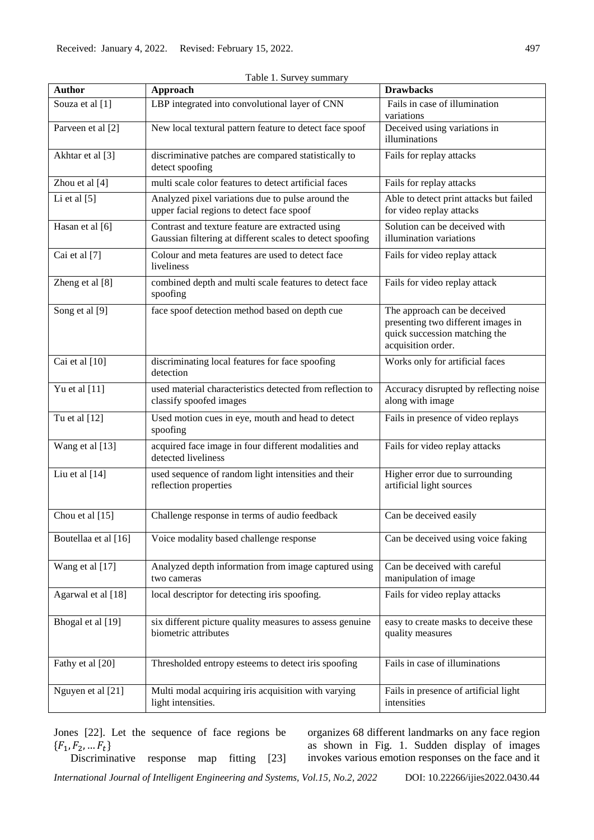| <b>Author</b>        | Approach                                                                                                      | <b>Drawbacks</b>                                                                                                          |
|----------------------|---------------------------------------------------------------------------------------------------------------|---------------------------------------------------------------------------------------------------------------------------|
| Souza et al [1]      | LBP integrated into convolutional layer of CNN                                                                | Fails in case of illumination<br>variations                                                                               |
| Parveen et al [2]    | New local textural pattern feature to detect face spoof                                                       | Deceived using variations in<br>illuminations                                                                             |
| Akhtar et al [3]     | discriminative patches are compared statistically to<br>detect spoofing                                       | Fails for replay attacks                                                                                                  |
| Zhou et al [4]       | multi scale color features to detect artificial faces                                                         | Fails for replay attacks                                                                                                  |
| Li et al $[5]$       | Analyzed pixel variations due to pulse around the<br>upper facial regions to detect face spoof                | Able to detect print attacks but failed<br>for video replay attacks                                                       |
| Hasan et al [6]      | Contrast and texture feature are extracted using<br>Gaussian filtering at different scales to detect spoofing | Solution can be deceived with<br>illumination variations                                                                  |
| Cai et al [7]        | Colour and meta features are used to detect face<br>liveliness                                                | Fails for video replay attack                                                                                             |
| Zheng et al [8]      | combined depth and multi scale features to detect face<br>spoofing                                            | Fails for video replay attack                                                                                             |
| Song et al [9]       | face spoof detection method based on depth cue                                                                | The approach can be deceived<br>presenting two different images in<br>quick succession matching the<br>acquisition order. |
| Cai et al [10]       | discriminating local features for face spoofing<br>detection                                                  | Works only for artificial faces                                                                                           |
| Yu et al $[11]$      | used material characteristics detected from reflection to<br>classify spoofed images                          | Accuracy disrupted by reflecting noise<br>along with image                                                                |
| Tu et al [12]        | Used motion cues in eye, mouth and head to detect<br>spoofing                                                 | Fails in presence of video replays                                                                                        |
| Wang et al [13]      | acquired face image in four different modalities and<br>detected liveliness                                   | Fails for video replay attacks                                                                                            |
| Liu et al [14]       | used sequence of random light intensities and their<br>reflection properties                                  | Higher error due to surrounding<br>artificial light sources                                                               |
| Chou et al [15]      | Challenge response in terms of audio feedback                                                                 | Can be deceived easily                                                                                                    |
| Boutellaa et al [16] | Voice modality based challenge response                                                                       | Can be deceived using voice faking                                                                                        |
| Wang et al [17]      | Analyzed depth information from image captured using<br>two cameras                                           | Can be deceived with careful<br>manipulation of image                                                                     |
| Agarwal et al [18]   | local descriptor for detecting iris spoofing.                                                                 | Fails for video replay attacks                                                                                            |
| Bhogal et al [19]    | six different picture quality measures to assess genuine<br>biometric attributes                              | easy to create masks to deceive these<br>quality measures                                                                 |
| Fathy et al [20]     | Thresholded entropy esteems to detect iris spoofing                                                           | Fails in case of illuminations                                                                                            |
| Nguyen et al [21]    | Multi modal acquiring iris acquisition with varying<br>light intensities.                                     | Fails in presence of artificial light<br>intensities                                                                      |

Table 1. Survey summary

Jones [22]. Let the sequence of face regions be  ${F_1, F_2, ..., F_t}$ Discriminative response map fitting [23] organizes 68 different landmarks on any face region as shown in Fig. 1. Sudden display of images invokes various emotion responses on the face and it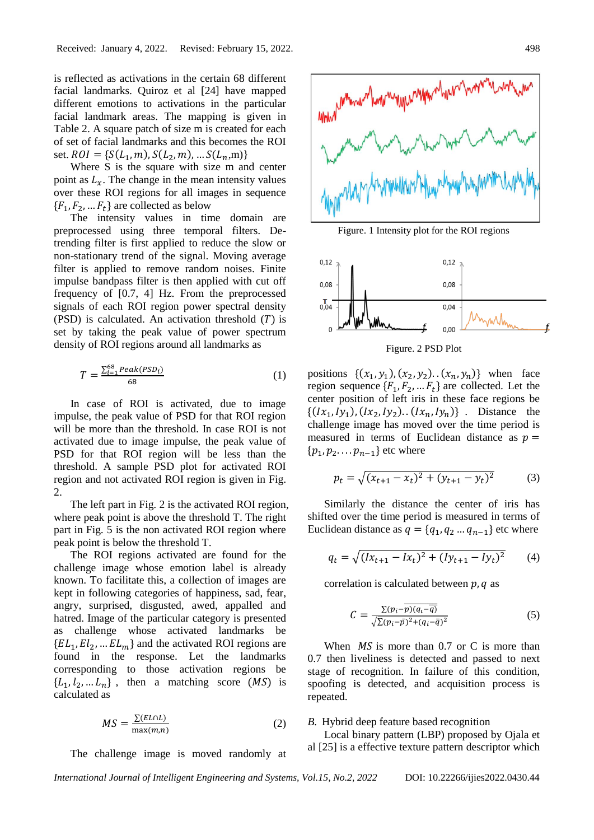is reflected as activations in the certain 68 different facial landmarks. Quiroz et al [24] have mapped different emotions to activations in the particular facial landmark areas. The mapping is given in Table 2. A square patch of size m is created for each of set of facial landmarks and this becomes the ROI set.  $ROI = \{S(L_1, m), S(L_2, m), ... S(L_n, m)\}\$ 

Where S is the square with size m and center point as  $L<sub>r</sub>$ . The change in the mean intensity values over these ROI regions for all images in sequence  $\{F_1, F_2, \dots F_t\}$  are collected as below

The intensity values in time domain are preprocessed using three temporal filters. Detrending filter is first applied to reduce the slow or non-stationary trend of the signal. Moving average filter is applied to remove random noises. Finite impulse bandpass filter is then applied with cut off frequency of [0.7, 4] Hz. From the preprocessed signals of each ROI region power spectral density (PSD) is calculated. An activation threshold  $(T)$  is set by taking the peak value of power spectrum density of ROI regions around all landmarks as

$$
T = \frac{\sum_{i=1}^{68} Peak(PSD_i)}{68} \tag{1}
$$

In case of ROI is activated, due to image impulse, the peak value of PSD for that ROI region will be more than the threshold. In case ROI is not activated due to image impulse, the peak value of PSD for that ROI region will be less than the threshold. A sample PSD plot for activated ROI region and not activated ROI region is given in Fig. 2.

The left part in Fig. 2 is the activated ROI region, where peak point is above the threshold T. The right part in Fig. 5 is the non activated ROI region where peak point is below the threshold T.

The ROI regions activated are found for the challenge image whose emotion label is already known. To facilitate this, a collection of images are kept in following categories of happiness, sad, fear, angry, surprised, disgusted, awed, appalled and hatred. Image of the particular category is presented as challenge whose activated landmarks be  $\{EL_1, El_2, ... EL_m\}$  and the activated ROI regions are found in the response. Let the landmarks corresponding to those activation regions be  ${L_1, l_2, ... L_n}$ , then a matching score (MS) is calculated as

$$
MS = \frac{\Sigma (EL \cap L)}{\max (m,n)}\tag{2}
$$

The challenge image is moved randomly at



Figure. 1 Intensity plot for the ROI regions



Figure. 2 PSD Plot

positions  $\{(x_1, y_1), (x_2, y_2), (x_n, y_n)\}\$  when face region sequence  $\{F_1, F_2, \dots F_t\}$  are collected. Let the center position of left iris in these face regions be  $\{(Ix_1, ly_1), (Ix_2, ly_2), (Ix_n, ly_n)\}\.$  Distance the challenge image has moved over the time period is measured in terms of Euclidean distance as  $p =$  $\{p_1, p_2, \ldots, p_{n-1}\}$  etc where

$$
p_t = \sqrt{(x_{t+1} - x_t)^2 + (y_{t+1} - y_t)^2}
$$
 (3)

Similarly the distance the center of iris has shifted over the time period is measured in terms of Euclidean distance as  $q = \{q_1, q_2, ..., q_{n-1}\}$  etc where

$$
q_t = \sqrt{(Ix_{t+1} - Ix_t)^2 + (Iy_{t+1} - Iy_t)^2}
$$
 (4)

correlation is calculated between  $p$ ,  $q$  as

$$
C = \frac{\Sigma (p_i - \overline{p})(q_i - \overline{q})}{\sqrt{\Sigma (p_i - \overline{p})^2 + (q_i - \overline{q})^2}}\tag{5}
$$

When  $MS$  is more than 0.7 or C is more than 0.7 then liveliness is detected and passed to next stage of recognition. In failure of this condition, spoofing is detected, and acquisition process is repeated.

*B.* Hybrid deep feature based recognition

Local binary pattern (LBP) proposed by Ojala et al [25] is a effective texture pattern descriptor which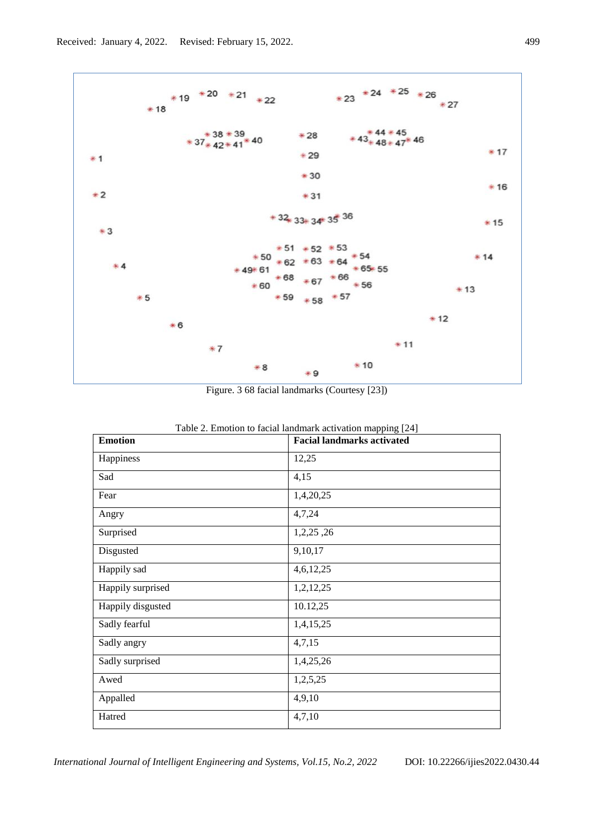

Figure. 3 68 facial landmarks (Courtesy [23])

| <b>Emotion</b>    | $\sigma$ .<br><b>Facial landmarks activated</b> |
|-------------------|-------------------------------------------------|
| Happiness         | 12,25                                           |
| Sad               | 4,15                                            |
| Fear              | 1,4,20,25                                       |
| Angry             | 4,7,24                                          |
| Surprised         | 1,2,25,26                                       |
| Disgusted         | 9,10,17                                         |
| Happily sad       | 4,6,12,25                                       |
| Happily surprised | 1,2,12,25                                       |
| Happily disgusted | 10.12,25                                        |
| Sadly fearful     | 1,4,15,25                                       |
| Sadly angry       | 4,7,15                                          |
| Sadly surprised   | 1,4,25,26                                       |
| Awed              | 1,2,5,25                                        |
| Appalled          | 4,9,10                                          |
| Hatred            | 4,7,10                                          |

Table 2. Emotion to facial landmark activation mapping [24]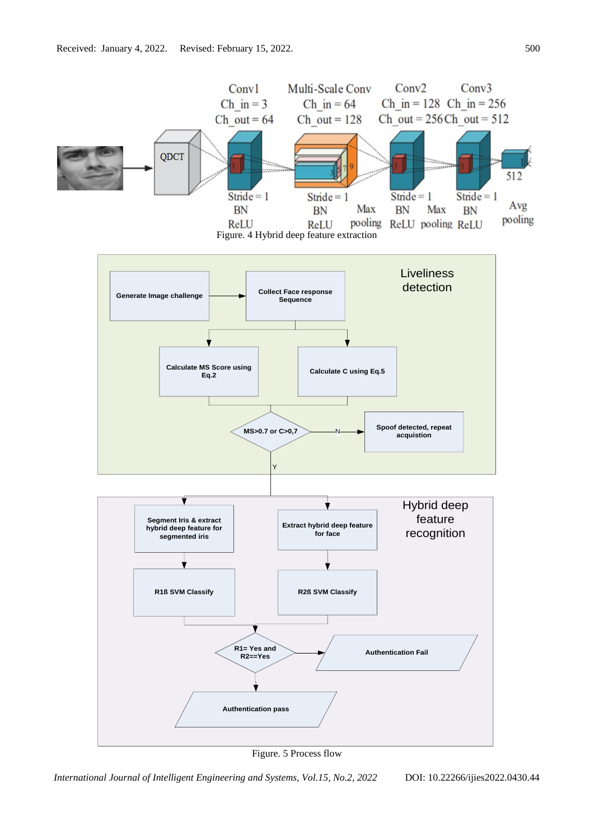

Figure. 5 Process flow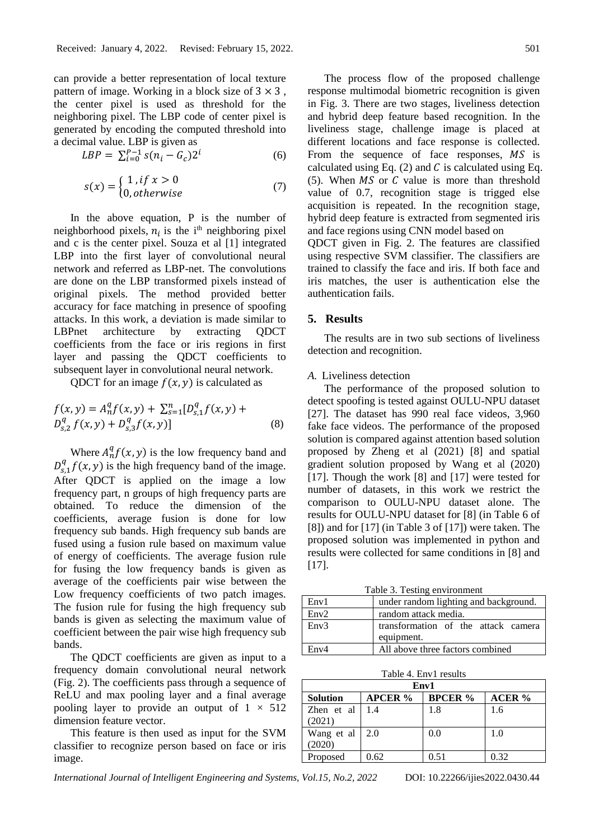can provide a better representation of local texture pattern of image. Working in a block size of  $3 \times 3$ , the center pixel is used as threshold for the neighboring pixel. The LBP code of center pixel is generated by encoding the computed threshold into a decimal value. LBP is given as

$$
LBP = \sum_{i=0}^{P-1} s(n_i - G_c) 2^i
$$
 (6)

$$
s(x) = \begin{cases} 1, & if x > 0 \\ 0, & otherwise \end{cases}
$$
 (7)

In the above equation, P is the number of neighborhood pixels,  $n_i$  is the i<sup>th</sup> neighboring pixel and c is the center pixel. Souza et al [1] integrated LBP into the first layer of convolutional neural network and referred as LBP-net. The convolutions are done on the LBP transformed pixels instead of original pixels. The method provided better accuracy for face matching in presence of spoofing attacks. In this work, a deviation is made similar to LBPnet architecture by extracting QDCT coefficients from the face or iris regions in first layer and passing the QDCT coefficients to subsequent layer in convolutional neural network.

QDCT for an image  $f(x, y)$  is calculated as

$$
f(x,y) = A_n^q f(x,y) + \sum_{s=1}^n [D_{s,1}^q f(x,y) + D_{s,2}^q f(x,y) + D_{s,3}^q f(x,y)]
$$
\n(8)

Where  $A_n^q f(x, y)$  is the low frequency band and  $D_{s,1}^q f(x, y)$  is the high frequency band of the image. After QDCT is applied on the image a low frequency part, n groups of high frequency parts are obtained. To reduce the dimension of the coefficients, average fusion is done for low frequency sub bands. High frequency sub bands are fused using a fusion rule based on maximum value of energy of coefficients. The average fusion rule for fusing the low frequency bands is given as average of the coefficients pair wise between the Low frequency coefficients of two patch images. The fusion rule for fusing the high frequency sub bands is given as selecting the maximum value of coefficient between the pair wise high frequency sub bands.

The QDCT coefficients are given as input to a frequency domain convolutional neural network (Fig. 2). The coefficients pass through a sequence of ReLU and max pooling layer and a final average pooling layer to provide an output of  $1 \times 512$ dimension feature vector.

This feature is then used as input for the SVM classifier to recognize person based on face or iris image.

The process flow of the proposed challenge response multimodal biometric recognition is given in Fig. 3. There are two stages, liveliness detection and hybrid deep feature based recognition. In the liveliness stage, challenge image is placed at different locations and face response is collected. From the sequence of face responses,  $MS$  is calculated using Eq. (2) and  $C$  is calculated using Eq. (5). When  $MS$  or  $C$  value is more than threshold value of 0.7, recognition stage is trigged else acquisition is repeated. In the recognition stage, hybrid deep feature is extracted from segmented iris and face regions using CNN model based on

QDCT given in Fig. 2. The features are classified using respective SVM classifier. The classifiers are trained to classify the face and iris. If both face and iris matches, the user is authentication else the authentication fails.

## **5. Results**

The results are in two sub sections of liveliness detection and recognition.

## *A.* Liveliness detection

The performance of the proposed solution to detect spoofing is tested against OULU-NPU dataset [27]. The dataset has 990 real face videos, 3,960 fake face videos. The performance of the proposed solution is compared against attention based solution proposed by Zheng et al (2021) [8] and spatial gradient solution proposed by Wang et al (2020) [17]. Though the work [8] and [17] were tested for number of datasets, in this work we restrict the comparison to OULU-NPU dataset alone. The results for OULU-NPU dataset for [8] (in Table 6 of [8]) and for [17] (in Table 3 of [17]) were taken. The proposed solution was implemented in python and results were collected for same conditions in [8] and  $[17]$ .

Table 3. Testing environment

| Env1 | under random lighting and background. |  |  |  |
|------|---------------------------------------|--|--|--|
| Env2 | random attack media.                  |  |  |  |
| Env3 | transformation of the attack camera   |  |  |  |
|      | equipment.                            |  |  |  |
| Env4 | All above three factors combined      |  |  |  |

Table 4. Env1 results

| Env1       |                |                |               |  |
|------------|----------------|----------------|---------------|--|
| Solution   | <b>APCER</b> % | <b>BPCER</b> % | <b>ACER</b> % |  |
| Zhen et al | 1.4            | 1.8            | 1.6           |  |
| (2021)     |                |                |               |  |
| Wang et al | 2.0            | 0.0            | 1.0           |  |
| (2020)     |                |                |               |  |
| Proposed   | 0.62           | 0.51           | 0.32          |  |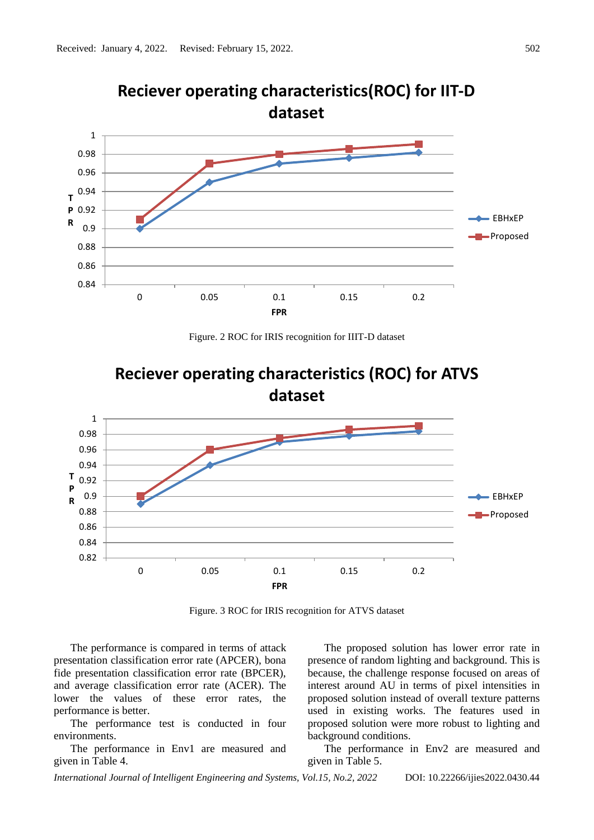

**Reciever operating characteristics(ROC) for IIT-D** 

Figure. 2 ROC for IRIS recognition for IIIT-D dataset



Figure. 3 ROC for IRIS recognition for ATVS dataset

The performance is compared in terms of attack presentation classification error rate (APCER), bona fide presentation classification error rate (BPCER), and average classification error rate (ACER). The lower the values of these error rates, the performance is better.

The performance test is conducted in four environments.

The performance in Env1 are measured and given in Table 4.

The proposed solution has lower error rate in presence of random lighting and background. This is because, the challenge response focused on areas of interest around AU in terms of pixel intensities in proposed solution instead of overall texture patterns used in existing works. The features used in proposed solution were more robust to lighting and background conditions.

The performance in Env2 are measured and given in Table 5.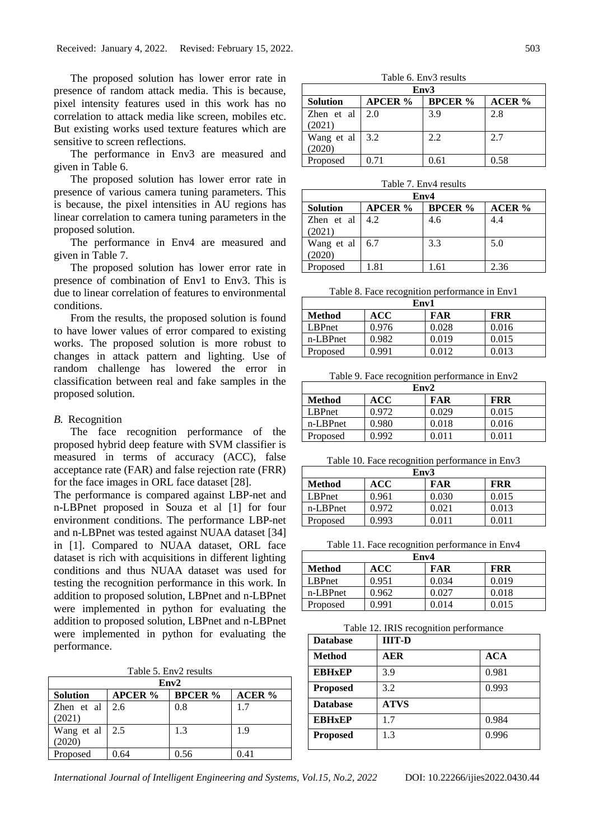The proposed solution has lower error rate in presence of random attack media. This is because, pixel intensity features used in this work has no correlation to attack media like screen, mobiles etc. But existing works used texture features which are sensitive to screen reflections.

The performance in Env3 are measured and given in Table 6.

The proposed solution has lower error rate in presence of various camera tuning parameters. This is because, the pixel intensities in AU regions has linear correlation to camera tuning parameters in the proposed solution.

The performance in Env4 are measured and given in Table 7.

The proposed solution has lower error rate in presence of combination of Env1 to Env3. This is due to linear correlation of features to environmental conditions.

From the results, the proposed solution is found to have lower values of error compared to existing works. The proposed solution is more robust to changes in attack pattern and lighting. Use of random challenge has lowered the error in classification between real and fake samples in the proposed solution.

#### *B.* Recognition

The face recognition performance of the proposed hybrid deep feature with SVM classifier is measured in terms of accuracy (ACC), false acceptance rate (FAR) and false rejection rate (FRR) for the face images in ORL face dataset [28].

The performance is compared against LBP-net and n-LBPnet proposed in Souza et al [1] for four environment conditions. The performance LBP-net and n-LBPnet was tested against NUAA dataset [34] in [1]. Compared to NUAA dataset, ORL face dataset is rich with acquisitions in different lighting conditions and thus NUAA dataset was used for testing the recognition performance in this work. In addition to proposed solution, LBPnet and n-LBPnet were implemented in python for evaluating the addition to proposed solution, LBPnet and n-LBPnet were implemented in python for evaluating the performance.

Table 5. Env2 results

| Env2                   |                |                |        |  |
|------------------------|----------------|----------------|--------|--|
| <b>Solution</b>        | <b>APCER</b> % | <b>BPCER</b> % | ACER % |  |
| Zhen et al             | 2.6            | 0.8            | 1.7    |  |
| (2021)                 |                |                |        |  |
| Wang et al $\vert$ 2.5 |                | 1.3            | 1.9    |  |
| (2020)                 |                |                |        |  |
| Proposed               | 0.64           | 0.56           | 0.41   |  |

Table 6. Env3 results

| Env <sub>3</sub> |                |                |               |  |
|------------------|----------------|----------------|---------------|--|
| <b>Solution</b>  | <b>APCER</b> % | <b>BPCER</b> % | <b>ACER %</b> |  |
| Zhen et al       | 2.0            | 3.9            | 2.8           |  |
| (2021)           |                |                |               |  |
| Wang et al       | 3.2            | 2.2            | 2.7           |  |
| (2020)           |                |                |               |  |
| Proposed         | 0.71           | 0.61           | 0.58          |  |

| Table 7. Env4 results |  |
|-----------------------|--|
|-----------------------|--|

| Env4            |                |                |        |  |
|-----------------|----------------|----------------|--------|--|
| <b>Solution</b> | <b>APCER</b> % | <b>BPCER</b> % | ACER % |  |
| Zhen et al      | 4.2            | 4.6            | 4.4    |  |
| (2021)          |                |                |        |  |
| Wang et al 6.7  |                | 3.3            | 5.0    |  |
| (2020)          |                |                |        |  |
| Proposed        | 1.81           | 1.61           | 2.36   |  |

Table 8. Face recognition performance in Env1

| Env1          |       |            |            |  |
|---------------|-------|------------|------------|--|
| <b>Method</b> | ACC   | <b>FAR</b> | <b>FRR</b> |  |
| LBPnet        | 0.976 | 0.028      | 0.016      |  |
| n-LBPnet      | 0.982 | 0.019      | 0.015      |  |
| Proposed      | 0.991 | 0.012      | 0.013      |  |

Table 9. Face recognition performance in Env2

| Env2          |            |            |            |  |
|---------------|------------|------------|------------|--|
| <b>Method</b> | <b>ACC</b> | <b>FAR</b> | <b>FRR</b> |  |
| <b>LBPnet</b> | 0.972      | 0.029      | 0.015      |  |
| n-LBPnet      | 0.980      | 0.018      | 0.016      |  |
| Proposed      | 0.992      | 0.011      | 0.011      |  |

Table 10. Face recognition performance in Env3

| Env3          |       |       |            |  |
|---------------|-------|-------|------------|--|
| <b>Method</b> | ACC   | FAR   | <b>FRR</b> |  |
| LBPnet        | 0.961 | 0.030 | 0.015      |  |
| n-LBPnet      | 0.972 | 0.021 | 0.013      |  |
| Proposed      | 0.993 | 0.011 | 0.011      |  |

Table 11. Face recognition performance in Env4

| Env4                                      |       |       |       |  |  |
|-------------------------------------------|-------|-------|-------|--|--|
| ACC<br>FAR<br><b>FRR</b><br><b>Method</b> |       |       |       |  |  |
| <b>LBPnet</b>                             | 0.951 | 0.034 | 0.019 |  |  |
| n-LBPnet                                  | 0.962 | 0.027 | 0.018 |  |  |
| Proposed                                  | 0.991 | 0.014 | 0.015 |  |  |

Table 12. IRIS recognition performance

| <b>Database</b> | <b>IIIT-D</b> |            |
|-----------------|---------------|------------|
| <b>Method</b>   | AER           | <b>ACA</b> |
| <b>EBHxEP</b>   | 3.9           | 0.981      |
| <b>Proposed</b> | 3.2           | 0.993      |
| <b>Database</b> | <b>ATVS</b>   |            |
| <b>EBHxEP</b>   | 17            | 0.984      |
| <b>Proposed</b> | 1.3           | 0.996      |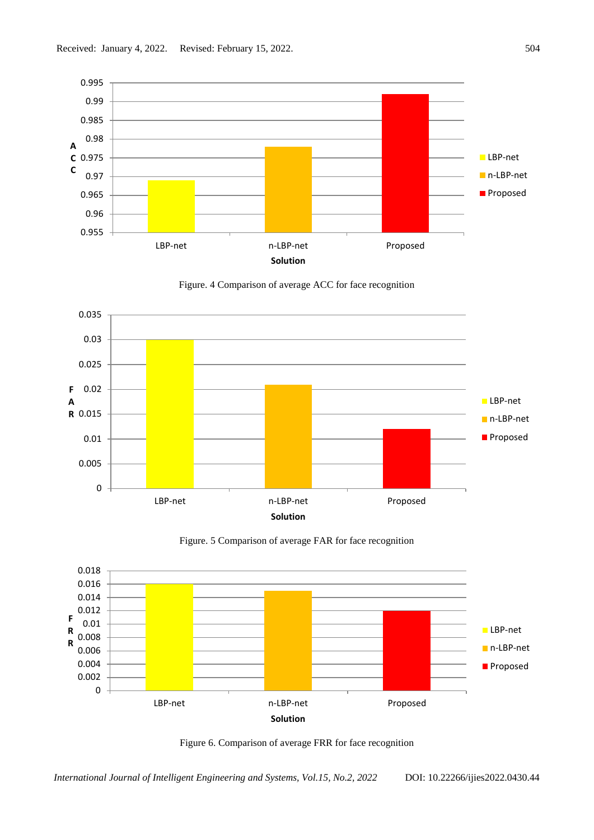







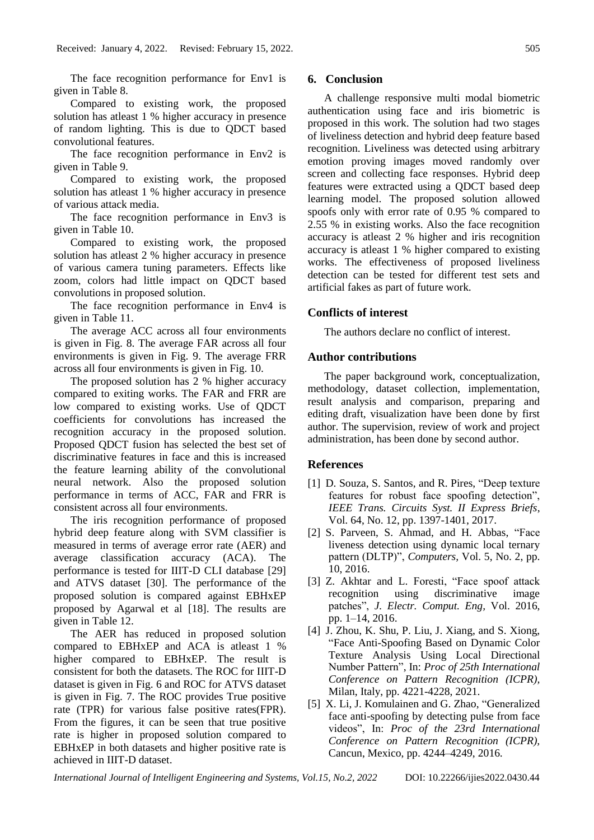The face recognition performance for Env1 is given in Table 8.

Compared to existing work, the proposed solution has atleast 1 % higher accuracy in presence of random lighting. This is due to QDCT based convolutional features.

The face recognition performance in Env2 is given in Table 9.

Compared to existing work, the proposed solution has atleast 1 % higher accuracy in presence of various attack media.

The face recognition performance in Env3 is given in Table 10.

Compared to existing work, the proposed solution has atleast 2 % higher accuracy in presence of various camera tuning parameters. Effects like zoom, colors had little impact on QDCT based convolutions in proposed solution.

The face recognition performance in Env4 is given in Table 11.

The average ACC across all four environments is given in Fig. 8. The average FAR across all four environments is given in Fig. 9. The average FRR across all four environments is given in Fig. 10.

The proposed solution has 2 % higher accuracy compared to exiting works. The FAR and FRR are low compared to existing works. Use of QDCT coefficients for convolutions has increased the recognition accuracy in the proposed solution. Proposed QDCT fusion has selected the best set of discriminative features in face and this is increased the feature learning ability of the convolutional neural network. Also the proposed solution performance in terms of ACC, FAR and FRR is consistent across all four environments.

The iris recognition performance of proposed hybrid deep feature along with SVM classifier is measured in terms of average error rate (AER) and average classification accuracy (ACA). The performance is tested for IIIT-D CLI database [29] and ATVS dataset [30]. The performance of the proposed solution is compared against EBHxEP proposed by Agarwal et al [18]. The results are given in Table 12.

The AER has reduced in proposed solution compared to EBHxEP and ACA is atleast 1 % higher compared to EBHxEP. The result is consistent for both the datasets. The ROC for IIIT-D dataset is given in Fig. 6 and ROC for ATVS dataset is given in Fig. 7. The ROC provides True positive rate (TPR) for various false positive rates(FPR). From the figures, it can be seen that true positive rate is higher in proposed solution compared to EBHxEP in both datasets and higher positive rate is achieved in IIIT-D dataset.

## **6. Conclusion**

A challenge responsive multi modal biometric authentication using face and iris biometric is proposed in this work. The solution had two stages of liveliness detection and hybrid deep feature based recognition. Liveliness was detected using arbitrary emotion proving images moved randomly over screen and collecting face responses. Hybrid deep features were extracted using a QDCT based deep learning model. The proposed solution allowed spoofs only with error rate of 0.95 % compared to 2.55 % in existing works. Also the face recognition accuracy is atleast 2 % higher and iris recognition accuracy is atleast 1 % higher compared to existing works. The effectiveness of proposed liveliness detection can be tested for different test sets and artificial fakes as part of future work.

## **Conflicts of interest**

The authors declare no conflict of interest.

#### **Author contributions**

The paper background work, conceptualization, methodology, dataset collection, implementation, result analysis and comparison, preparing and editing draft, visualization have been done by first author. The supervision, review of work and project administration, has been done by second author.

### **References**

- [1] D. Souza, S. Santos, and R. Pires, "Deep texture features for robust face spoofing detection", *IEEE Trans. Circuits Syst. II Express Briefs*, Vol. 64, No. 12, pp. 1397-1401, 2017.
- [2] S. Parveen, S. Ahmad, and H. Abbas, "Face liveness detection using dynamic local ternary pattern (DLTP)", *Computers,* Vol. 5, No. 2, pp. 10, 2016.
- [3] Z. Akhtar and L. Foresti, "Face spoof attack recognition using discriminative image patches", *J. Electr. Comput. Eng,* Vol. 2016, pp. 1–14, 2016.
- [4] J. Zhou, K. Shu, P. Liu, J. Xiang, and S. Xiong, "Face Anti-Spoofing Based on Dynamic Color Texture Analysis Using Local Directional Number Pattern", In: *Proc of 25th International Conference on Pattern Recognition (ICPR),* Milan, Italy, pp. 4221-4228, 2021.
- [5] X. Li, J. Komulainen and G. Zhao, "Generalized face anti-spoofing by detecting pulse from face videos", In: *Proc of the 23rd International Conference on Pattern Recognition (ICPR),* Cancun, Mexico, pp. 4244–4249, 2016.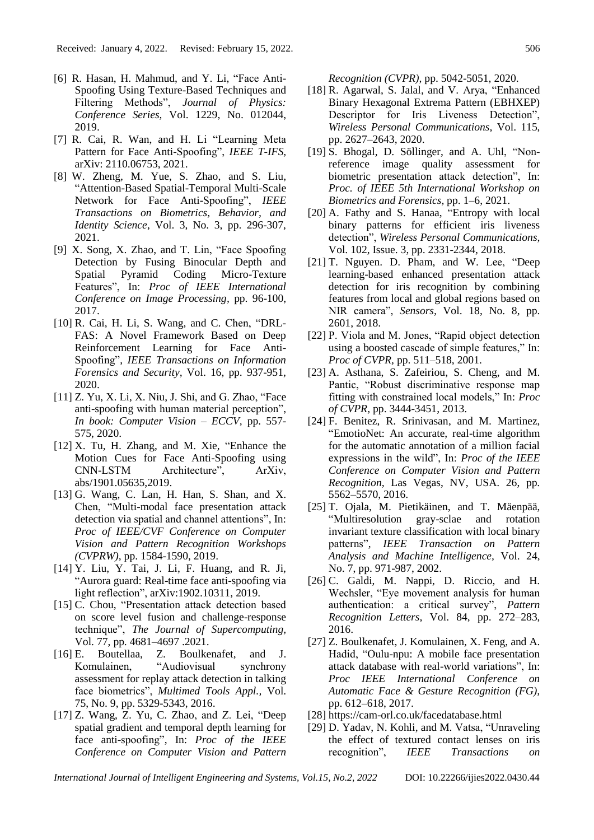- [6] R. Hasan, H. Mahmud, and Y. Li, "Face Anti-Spoofing Using Texture-Based Techniques and Filtering Methods", *Journal of Physics: Conference Series,* Vol. 1229, No. 012044, 2019.
- [7] R. Cai, R. Wan, and H. Li "Learning Meta Pattern for Face Anti-Spoofing", *IEEE T-IFS,* arXiv: [2110.06753,](https://arxiv.org/abs/2110.06753) 2021.
- [8] W. Zheng, M. Yue, S. Zhao, and S. Liu, "Attention-Based Spatial-Temporal Multi-Scale Network for Face Anti-Spoofing", *IEEE Transactions on Biometrics, Behavior, and Identity Science*, Vol. 3, No. 3, pp. 296-307, 2021.
- [9] X. Song, X. Zhao, and T. Lin, "Face Spoofing Detection by Fusing Binocular Depth and Spatial Pyramid Coding Micro-Texture Features", In: *Proc of IEEE International Conference on Image Processing,* pp. 96-100, 2017.
- [10] R. Cai, H. Li, S. Wang, and C. Chen, "DRL-FAS: A Novel Framework Based on Deep Reinforcement Learning for Face Anti-Spoofing", *IEEE Transactions on Information Forensics and Security,* Vol. 16, pp. 937-951, 2020.
- $[11]$  Z. Yu, X. Li, X. Niu, J. Shi, and G. Zhao, "Face anti-spoofing with human material perception", *In book: Computer Vision – ECCV,* pp. 557- 575, 2020.
- [12] X. Tu, H. Zhang, and M. Xie, "Enhance the Motion Cues for Face Anti-Spoofing using CNN-LSTM Architecture", ArXiv, abs/1901.05635,2019.
- [13] G. Wang, C. Lan, H. Han, S. Shan, and X. Chen, "Multi-modal face presentation attack detection via spatial and channel attentions", In: *Proc of IEEE/CVF Conference on Computer Vision and Pattern Recognition Workshops (CVPRW),* pp. 1584-1590, 2019.
- [14] Y. Liu, Y. Tai, J. Li, F. Huang, and R. Ji, "Aurora guard: Real-time face anti-spoofing via light reflection", arXiv:1902.10311, 2019.
- [15] C. Chou, "Presentation attack detection based on score level fusion and challenge-response technique", *The Journal of Supercomputing,* Vol. 77, pp. 4681–4697 .2021.
- [16] E. Boutellaa, Z. Boulkenafet, and J. Komulainen, "Audiovisual synchrony assessment for replay attack detection in talking face biometrics", *Multimed Tools Appl.,* Vol. 75, No. 9, pp. 5329-5343, 2016.
- [17] Z. Wang, Z. Yu, C. Zhao, and Z. Lei, "Deep spatial gradient and temporal depth learning for face anti-spoofing", In: *Proc of the IEEE Conference on Computer Vision and Pattern*

*Recognition (CVPR),* pp. 5042-5051, 2020.

- [18] R. Agarwal, S. Jalal, and V. Arya, "Enhanced Binary Hexagonal Extrema Pattern (EBHXEP) Descriptor for Iris Liveness Detection", *Wireless Personal Communications,* Vol. 115, pp. 2627–2643, 2020.
- [19] S. Bhogal, D. Söllinger, and A. Uhl, "Nonreference image quality assessment for biometric presentation attack detection", In: *Proc. of IEEE 5th International Workshop on Biometrics and Forensics,* pp. 1–6, 2021.
- [20] A. Fathy and S. Hanaa, "Entropy with local binary patterns for efficient iris liveness detection", *Wireless Personal Communications,* Vol. 102, Issue. 3, pp. 2331-2344, 2018.
- [21] T. Nguyen. D. Pham, and W. Lee, "Deep learning-based enhanced presentation attack detection for iris recognition by combining features from local and global regions based on NIR camera", *Sensors,* Vol. 18, No. 8, pp. 2601, 2018.
- [22] P. Viola and M. Jones, "Rapid object detection using a boosted cascade of simple features," In: *Proc of CVPR,* pp. 511–518, 2001.
- [23] A. Asthana, S. Zafeiriou, S. Cheng, and M. Pantic, "Robust discriminative response map fitting with constrained local models," In: *Proc of CVPR,* pp. 3444-3451, 2013.
- [24] F. Benitez, R. Srinivasan, and M. Martinez, "EmotioNet: An accurate, real-time algorithm for the automatic annotation of a million facial expressions in the wild", In: *Proc of the IEEE Conference on Computer Vision and Pattern Recognition,* Las Vegas, NV, USA. 26, pp. 5562–5570, 2016.
- [25] T. Ojala, M. Pietikäinen, and T. Mäenpää, "Multiresolution gray-sclae and rotation invariant texture classification with local binary patterns", *IEEE Transaction on Pattern Analysis and Machine Intelligence,* Vol. 24, No. 7, pp. 971-987, 2002.
- [26] C. Galdi, M. Nappi, D. Riccio, and H. Wechsler, "Eye movement analysis for human authentication: a critical survey", *Pattern Recognition Letters,* Vol. 84, pp. 272–283, 2016.
- [27] Z. Boulkenafet, J. Komulainen, X. Feng, and A. Hadid, "Oulu-npu: A mobile face presentation attack database with real-world variations", In: *Proc IEEE International Conference on Automatic Face & Gesture Recognition (FG),* pp. 612–618, 2017.
- [28] https://cam-orl.co.uk/facedatabase.html
- [29] D. Yadav, N. Kohli, and M. Vatsa, "Unraveling the effect of textured contact lenses on iris recognition", *IEEE Transactions on*